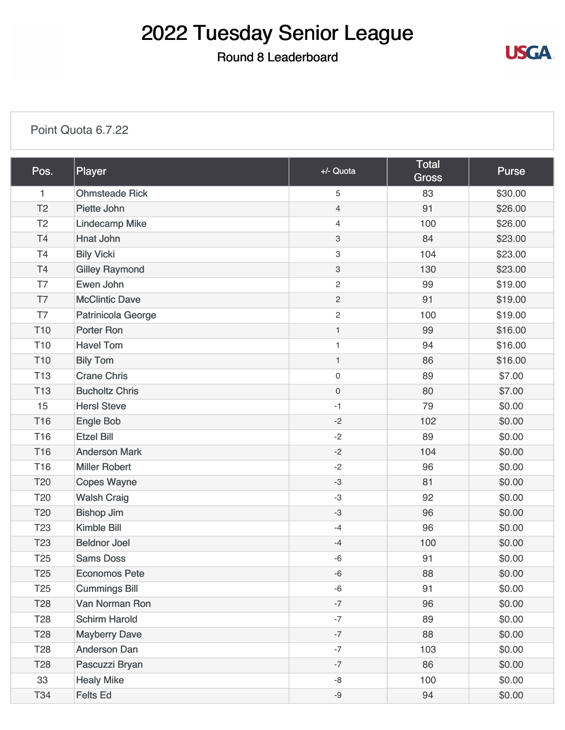# 2022 Tuesday Senior League

### Round 8 Leaderboard



#### [Point Quota 6.7.22](https://static.golfgenius.com/v2tournaments/8543534482538388186?called_from=&round_index=8)

| Pos.            | Player                | +/- Quota           | <b>Total</b><br><b>Gross</b> | <b>Purse</b> |
|-----------------|-----------------------|---------------------|------------------------------|--------------|
| $\mathbf{1}$    | <b>Ohmsteade Rick</b> | 5                   | 83                           | \$30.00      |
| T <sub>2</sub>  | Piette John           | $\overline{4}$      | 91                           | \$26.00      |
| T <sub>2</sub>  | <b>Lindecamp Mike</b> | $\overline{4}$      | 100                          | \$26.00      |
| <b>T4</b>       | Hnat John             | 3                   | 84                           | \$23.00      |
| T <sub>4</sub>  | <b>Bily Vicki</b>     | 3                   | 104                          | \$23.00      |
| T4              | <b>Gilley Raymond</b> | 3                   | 130                          | \$23.00      |
| T7              | Ewen John             | $\overline{c}$      | 99                           | \$19.00      |
| T7              | <b>McClintic Dave</b> | $\overline{c}$      | 91                           | \$19.00      |
| T7              | Patrinicola George    | $\overline{c}$      | 100                          | \$19.00      |
| T <sub>10</sub> | <b>Porter Ron</b>     | $\mathbf{1}$        | 99                           | \$16.00      |
| T <sub>10</sub> | <b>Havel Tom</b>      | $\mathbf{1}$        | 94                           | \$16.00      |
| T <sub>10</sub> | <b>Bily Tom</b>       | $\mathbf{1}$        | 86                           | \$16.00      |
| <b>T13</b>      | <b>Crane Chris</b>    | 0                   | 89                           | \$7.00       |
| <b>T13</b>      | <b>Bucholtz Chris</b> | $\mathsf{O}\xspace$ | 80                           | \$7.00       |
| 15              | <b>HersI</b> Steve    | $-1$                | 79                           | \$0.00       |
| T16             | Engle Bob             | $-2$                | 102                          | \$0.00       |
| T16             | <b>Etzel Bill</b>     | $-2$                | 89                           | \$0.00       |
| T <sub>16</sub> | <b>Anderson Mark</b>  | $-2$                | 104                          | \$0.00       |
| T <sub>16</sub> | <b>Miller Robert</b>  | $-2$                | 96                           | \$0.00       |
| T <sub>20</sub> | <b>Copes Wayne</b>    | $-3$                | 81                           | \$0.00       |
| T <sub>20</sub> | <b>Walsh Craig</b>    | $-3$                | 92                           | \$0.00       |
| T20             | <b>Bishop Jim</b>     | $-3$                | 96                           | \$0.00       |
| T <sub>23</sub> | <b>Kimble Bill</b>    | $-4$                | 96                           | \$0.00       |
| T <sub>23</sub> | <b>Beldnor Joel</b>   | $-4$                | 100                          | \$0.00       |
| T <sub>25</sub> | <b>Sams Doss</b>      | -6                  | 91                           | \$0.00       |
| T <sub>25</sub> | <b>Economos Pete</b>  | $-6$                | 88                           | \$0.00       |
| T <sub>25</sub> | <b>Cummings Bill</b>  | $-6$                | 91                           | \$0.00       |
| T <sub>28</sub> | Van Norman Ron        | $-7$                | 96                           | \$0.00       |
| T <sub>28</sub> | <b>Schirm Harold</b>  | $-7$                | 89                           | \$0.00       |
| T <sub>28</sub> | <b>Mayberry Dave</b>  | $-7$                | 88                           | \$0.00       |
| T <sub>28</sub> | <b>Anderson Dan</b>   | $-7$                | 103                          | \$0.00       |
| T <sub>28</sub> | Pascuzzi Bryan        | $-7$                | 86                           | \$0.00       |
| 33              | <b>Healy Mike</b>     | -8                  | 100                          | \$0.00       |
| T34             | Felts Ed              | $-9$                | 94                           | \$0.00       |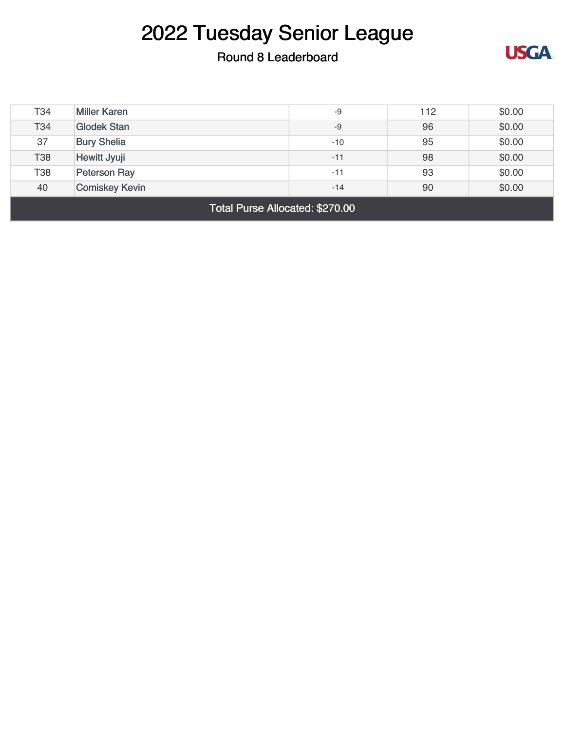## 2022 Tuesday Senior League

### Round 8 Leaderboard



| Total Purse Allocated: \$270.00 |                       |       |     |        |  |
|---------------------------------|-----------------------|-------|-----|--------|--|
| 40                              | <b>Comiskey Kevin</b> | $-14$ | 90  | \$0.00 |  |
| <b>T38</b>                      | Peterson Ray          | $-11$ | 93  | \$0.00 |  |
| <b>T38</b>                      | Hewitt Jyuji          | $-11$ | 98  | \$0.00 |  |
| 37                              | <b>Bury Shelia</b>    | $-10$ | 95  | \$0.00 |  |
| T34                             | <b>Glodek Stan</b>    | $-9$  | 96  | \$0.00 |  |
| T34                             | <b>Miller Karen</b>   | $-9$  | 112 | \$0.00 |  |